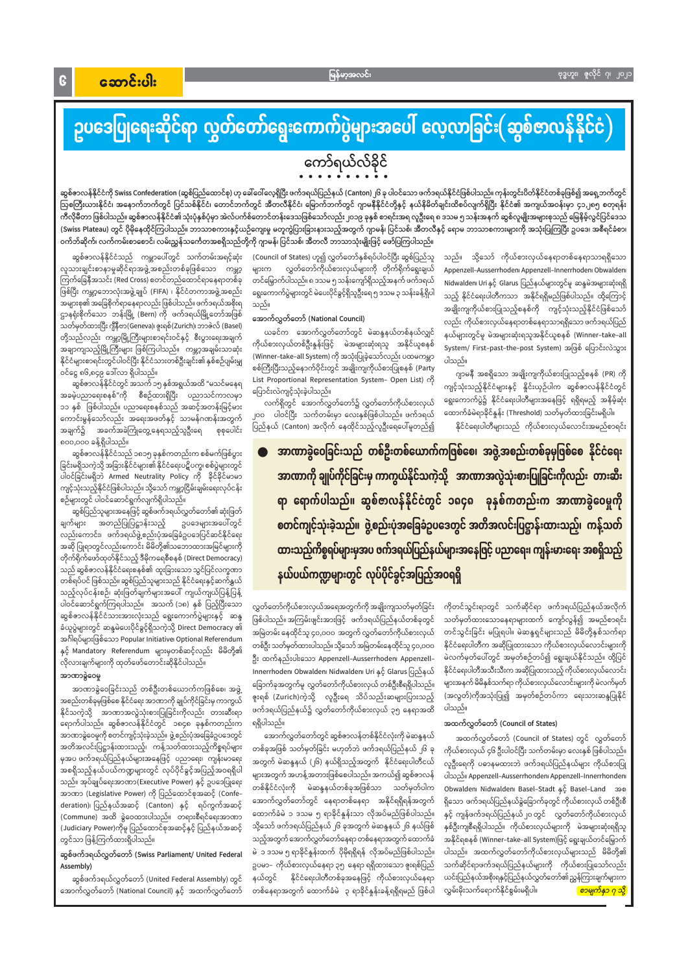$\mathbf{G}$ 

# ဥပဒေပြုရေးဆိုင်ရာ လွှတ်တော်ရွေးကောက်ပွဲများအပေါ် လေ့လာခြင်း(ဆွစ်ဇာလန်နိုင်ငံ)

## ကော်ရယ်လ်ခိုင်

ဆွစ်ဇာလန်နိုင်ငံကို Swiss Confederation (ဆွစ်ပြည်ထောင်စု) ဟု ခေါ်ဝေါ်လေ့ရှိပြီး ဖက်ဒရယ်နယ် (Canton)၂၆ ခု ပါဝင်သော ဖက်ဒရယ်နိုင်ငံဖြစ်ပါသည်။ ကုန်းတွင်းပိတ်နိုင်ငံတစ်ခုဖြစ်၍ အရှေ့ဘက်တွင် သြစတြီးယားနိုင်ငံ၊ အနောက်ဘက်တွင် ပြင်သစ်နိုင်ငံ၊ တောင်ဘက်တွင် အီတလီနိုင်ငံ၊ မြောက်ဘက်တွင် ဂျာမနီနိုင်ငံတို့နှင့် နယ်နိမိတ်ချင်းထိစပ်လျက်ရှိပြီး နိုင်ငံ၏ အကျယ်အဝန်းမှာ ၄၁,၂၈၅ စတုရန်း ကီလိုမီတာ ဖြစ်ပါသည်။ ဆွစ်ဇာလန်နိုင်ငံ၏ သုံးပုံနှစ်ပုံမှာ အဲလ်ပက်စ်တောင်တန်းဒေသဖြစ်သော်လည်း၂၀၁၉ ခုနှစ် စာရင်းအရ လူဦးရေ ၈ ဒသမ ၅ သန်းအနက် ဆွစ်လူမျိုးအများစုသည် မြေနိမ့်လွင်ပြင်ဒေသ (Swiss Plateau) တွင် ပိုမိုနေထိုင်ကြပါသည်။ ဘာသာစကားနှင့်ယဉ်ကျေးမှု မတူကွဲပြားခြားနားသည့်အတွက် ဂျာမန်၊ ပြင်သစ်၊ အီတလီနှင့် ရောမ ဘာသာစကားများကို အသုံးပြုကြပြီး ဥပဒေ၊ အစီရင်ခံစာ၊ ဝက်ဘ်ဆိုက်၊ လက်ကမ်းစာစောင်၊ လမ်းညွှန်သင်္ကေတအစရှိသည်တို့ကို ဂျာမန်၊ ပြင်သစ်၊ အီတလီ ဘာသာသုံးမျိုးဖြင့် ဖော်ပြကြပါသည်။

ဆွစ်ဇာလန်နိုင်ငံသည် ကမ္ဘာပေါ်တွင် သက်တမ်းအရင့်ဆုံး လူသားချင်းစာနာမှုဆိုင်ရာအဖွဲ့အစည်းတစ်ခုဖြစ်သော ကမ္ဘာ့ ကြက်ခြေနီအသင်း (Red Cross) စတင်တည်ထောင်ရာနေရာတစ်ခု ဖြစ်ပြီး ကမ္ဘာ့ဘောလုံးအဖွဲ့ချုပ် (FIFA) ၊ နိုင်ငံတကာအဖွဲ့အစည်း အများစု၏ အခြေစိုက်ရာနေရာလည်း ဖြစ်ပါသည်။ ဖက်ဒရယ်အစိုးရ ဌာနရုံးစိုက်သော ဘန်းမြို့ (Bern) ကို ဖက်ဒရယ်မြို့တော်အဖြစ် သတ်မှတ်ထားပြီး ဂျီနီဗာ(Geneva)၊ ဇူးရစ်(Zurich)၊ ဘာဇဲလ် (Basel) တို့သည်လည်း ကမ္ဘာ့မြို့ကြီးများစာရင်းဝင်နှင့် စီးပွားရေးအချက် အချာကျသည့်မြို့ကြီးများ ဖြစ်ကြပါသည်။ ကမ္ဘာ့အချမ်းသာဆုံး နိုင်ငံများစာရင်းတွင်ပါဝင်ပြီး နိုင်ငံသားတစ်ဦးချင်း၏ နှစ်စဉ်ပျမ်းမျှ ဝင်ငွေ ၈၆,၈၄၉ ဒေါ်လာ ရှိပါသည်။

ဆွစ်ဇာလန်နိုင်ငံတွင် အသက် ၁၅ နှစ်အရွယ်အထိ "မသင်မနေရ အခမဲ့ပညာရေးစနစ်"ကို စီစဉ်ထားရှိပြီး ပညာသင်ကာလမှာ ၁၁ နှစ် ဖြစ်ပါသည်။ ပညာရေးစနစ်သည် အဆင့်အတန်းမြင့်မား ကောင်းမွန်သော်လည်း အရေးအဖတ်နှင့် သာမန်ဂဏန်းအတွက် စုစုပေါင်း အချက်၌ အခက်အခဲကြုံတွေ့နေရသည့်သူဦးရေ ၈၀၀,၀၀၀ ခန့်ရှိပါသည်။

ဆွစ်ဇာလန်နိုင်ငံသည် ၁၈၁၅ ခုနှစ်ကတည်းက စစ်မက်ဖြစ်ပွား ခြင်းမရှိသကဲ့သို့ အခြားနိုင်ငံများ၏ နိုင်ငံရေးပဋိပက္ခ၊ စစ်ပွဲများတွင် ပါဝင်ခြင်းမရှိဘဲ Armed Neutrality Policy ကို ခိုင်ခိုင်မာမာ ကျင့်သုံးသည့်နိုင်ငံဖြစ်ပါသည်။ သို့သော် ကမ္ဘာ့ငြိမ်းချမ်းရေးလုပ်ငန်း စဉ်များတွင် ပါဝင်ဆောင်ရွက်လျက်ရှိပါသည်။

ဆွစ်ပြည်သူများအနေဖြင့် ဆွစ်ဖက်ဒရယ်လွှတ်တော်၏ ဆုံးဖြတ် ဥပဒေများအပေါ်တွင် ချက်များ အတည်ပြုပြဋ္ဌာန်းသည့် လည်းကောင်း၊ ဖက်ဒရယ်ဖွဲ့စည်းပုံအခြေခံဥပဒေပြင်ဆင်နိုင်ရေး အဆို ပြုရာတွင်လည်းကောင်း မိမိတို့၏သဘောထားအမြင်များကို တိုက်ရိုက်ဖော်ထုတ်နိုင်သည့် ဒီမိုကရေစီစနစ် (Direct Democracy) သည် ဆွစ်ဇာလန်နိုင်ငံရေးစနစ်၏ ထူးခြားသော သွင်ပြင်လက္ခဏာ တစ်ရပ်ပင် ဖြစ်သည်။ ဆွစ်ပြည်သူများသည် နိုင်ငံရေးနှင့်ဆက်နွှယ် သည့်လုပ်ငန်းစဉ်၊ ဆုံးဖြတ်ချက်များအပေါ် ကျယ်ကျယ်ပြန့်ပြန့် ပါဝင်ဆောင်ရွက်ကြရပါသည်။ အသက် (၁၈) နှစ် ပြည့်ပြီးသော ဆွစ်ဇာလန်နိုင်ငံသားအားလုံးသည် ရွေးကောက်ပွဲများနှင့် ဆန္ဒ ခံယူပွဲများတွင် ဆန္ဒမဲပေးပိုင်ခွင့်ရှိသကဲ့သို့ Direct Democracy ၏ အင်္ဂါရပ်များဖြစ်သော Popular Initiative၊ Optional Referendum ုနှင့် Mandatory Referendum များမှတစ်ဆင့်လည်း မိမိတို့၏ လိုလားချက်များကို ထုတ်ဖော်တောင်းဆိုနိုင်ပါသည်။ အာဏာခွဲဝေမှု

အာဏာခွဲဝေခြင်းသည် တစ်ဦးတစ်ယောက်ကဖြစ်စေ၊ အဖွဲ့ (အလွတ်)ကိုအသုံးပြု၍ အမှတ်စဉ်တပ်ကာ ရေးသားဆန္ဒပြုနိုင် ဇူးရစ် (Zurich)ကဲ့သို့ လူဦးရေ သိပ်သည်းဆများပြားသည့် အစည်းတစ်ခုမှဖြစ်စေ နိုင်ငံရေး အာဏာကို ချုပ်ကိုင်ခြင်းမှ ကာကွယ် ဖက်ဒရယ်ပြည်နယ်၌ လွှတ်တော်ကိုယ်စားလှယ် ၃၅ နေရာအထိ ပါသည်။ နိုင်သကဲ့သို့ အာဏာအလွဲသုံးစားပြုခြင်းကိုလည်း တားဆီးရာ ရောက်ပါသည်။ ဆွစ်ဇာလန်နိုင်ငံတွင် ၁၈၄၈ ခုနှစ်ကတည်းက ရရှိပါသည်။ အထက်လွှတ်တော် (Council of States) -<br>အောက်လွှတ်တော်တွင် ဆွစ်ဇာလန်တစ်နိုင်ငံလုံးကို မဲဆန္ဒနယ် အာဏာခွဲဝေမှုကို စတင်ကျင့်သုံးခဲ့သည်။ ဖွဲ့ စည်းပုံအခြေခံဥပဒေတွင် အထက်လွှတ်တော် (Council of States) တွင် လွှတ်တော် အတိအလင်းပြဋ္ဌာန်းထားသည့်၊ ကန့်သတ်ထားသည့်ကိစ္စရပ်များ တစ်ခုအဖြစ် သတ်မှတ်ခြင်း မဟုတ်ဘဲ ဖက်ဒရယ်ပြည်နယ် ၂၆ ခု ကိုယ်စားလှယ် ၄၆ ဦးပါဝင်ပြီး သက်တမ်းမှာ လေးနှစ် ဖြစ်ပါသည်။ မှအပ ဖက်ဒရယ်ပြည်နယ်များအနေဖြင့် ပညာရေး၊ ကျန်းမာရေး အတွက် မဲဆန္ဒနယ် (၂၆) နယ်ရှိသည့်အတွက် နိုင်ငံရေးပါတီငယ် လူဦးရေကို ပဓာနမထားဘဲ ဖက်ဒရယ်ပြည်နယ်များ ကိုယ်စားပြု အစရှိသည့်နယ်ပယ်ကဏ္ဍများတွင် လုပ်ပိုင်ခွင့်အပြည့်အဝရရှိပါ များအတွက် အဟန့်အတားဖြစ်စေပါသည်။ အကယ်၍ ဆွစ်ဇာလန် ပါသည်။ Appenzell-Ausserrhonden၊ Appenzell-Innerrhonden၊ သည်။ အုပ်ချုပ်ရေးအာဏာ(Executive Power) နှင့် ဥပဒေပြုရေး တစ်နိုင်ငံလုံးကို မဲဆန္ဒနယ်တစ်ခုအဖြစ်သာ သတ်မှတ်ပါက Obwalden၊ Nidwalden၊ Basel-Stadt နှင့် Basel-Land အစ အာဏာ (Legislative Power) ကို ပြည်ထောင်စုအဆင့် (Confe-အောက်လွှတ်တော်တွင် နေရာတစ်နေရာ အနိုင်ရရှိရန်အတွက် ရှိသော ဖက်ဒရယ်ပြည်နယ်ခွဲခြောက်ခုတွင် ကိုယ်စားလှယ် တစ်ဦးစီ deration)၊ ပြည်နယ်အဆင့် (Canton) နှင့် ရပ်ကွက်အဆင့် ထောက်ခံမဲ ၁ ဒသမ ၅ ရာခိုင်နှုန်းသာ လိုအပ်မည်ဖြစ်ပါသည်။ နှင့် ကျန်ဖက်ဒရယ်ပြည်နယ်၂၀ တွင် လွှတ်တော်ကိုယ်စားလှယ် (Commune) အထိ ခွဲဝေထားပါသည်။ တရားစီရင်ရေးအာဏာ သို့သော် ဖက်ဒရယ်ပြည်နယ် ၂၆ ခုအတွက် မဲဆန္ဒနယ် ၂၆ နယ်ဖြစ် နှစ်ဦးကျစီရရှိပါသည်။ ကိုယ်စားလှယ်များကို မဲအများဆုံးရရှိသူ (Judiciary Power)ကိုမူ ပြည်ထောင်စုအဆင့်နှင့် ပြည်နယ်အဆင့် သည့်အတွက် အောက်လွှတ်တော်နေရာ တစ်နေရာအတွက် ထောက်ခံ အနိုင်ရစနစ် (Winner–take–all System)ဖြင့် ရွေးချယ်တင်မြှောက် တွင်သာ ဖြန့်ကြက်ထားရှိပါသည်။ မဲ ၁ ဒသမ ၅ ရာခိုင်နှုန်းထက် ပိုမိုရရှိရန် လိုအပ်မည်ဖြစ်ပါသည်။ ပါသည်။ အထက်လွှတ်တော်ကိုယ်စားလှယ်များသည် မိမိတို့၏ ဆွစ်ဖက်ဒရယ်လွှတ်တော် (Swiss Parliament/ United Federal သက်ဆိုင်ရာဖက်ဒရယ်ပြည်နယ်များကို ကိုယ်စားပြုသော်လည်း ဥပမာ– ကိုယ်စားလှယ်နေရာ ၃၅ နေရာ ရရှိထားသော ဇူးရစ်ပြည် Assembly) နယ်တွင် နိုင်ငံရေးပါတီတစ်ခုအနေဖြင့် ကိုယ်စားလှယ်နေရာ ယင်းပြည်နယ်အစိုးရနှင့်ပြည်နယ်လွှတ်တော်၏ညွှန်ကြားချက်များက ဆွစ်ဖက်ဒရယ်လွှတ်တော် (United Federal Assembly) တွင် အောက်လွှတ်တော် (National Council) နှင့် အထက်လွှတ်တော် လွှမ်းမိုးသက်ရောက်နိုင်စွမ်းမရှိပါ။ တစ်နေရာအတွက် ထောက်ခံမဲ ၃ ရာခိုင်နူန်းခန့်ရရှိရမည် ဖြစ်ပါ <mark>( စာမျက်နှာ ၇ သို့</mark>

(Council of States) ဟူ၍ လွှတ်တော်နှစ်ရပ်ပါဝင်ပြီး ဆွစ်ပြည်သူ လွှတ်တော်ကိုယ်စားလှယ်များကို တိုက်ရိုက်ရွေးချယ် များက တင်မြှောက်ပါသည်။ ၈ ဒသမ ၅ သန်းကျော်ရှိသည့်အနက် ဖက်ဒရယ် ရွေးကောက်ပွဲများတွင် မဲပေးပိုင်ခွင့်ရှိသူဦးရေ ၅ ဒသမ ၃ သန်းခန့်ရှိပါ သည်။

#### အောက်လွှတ်တော် (National Council)

ယခင်က အောက်လွှတ်တော်တွင် မဲဆန္ဒနယ်တစ်နယ်လျှင် ကိုယ်စားလှယ်တစ်ဦးနူန်းဖြင့် မဲအများဆုံးရသူ အနိုင်ယူစနစ် (Winner–take–all System) ကို အသုံးပြုခဲ့သော်လည်း ပထမကမ္ဘာ စစ်ကြီးပြီးသည့်နောက်ပိုင်းတွင် အချိုးကျကိုယ်စားပြုစနစ် (Party List Proportional Representation System- Open List) ကို ပြောင်းလဲကျင့်သုံးခဲ့ပါသည်။

လက်ရှိတွင် အောက်လွှတ်တော်၌ လွှတ်တော်ကိုယ်စားလှယ် ၂၀၀ ပါဝင်ပြီး သက်တမ်းမှာ လေးနှစ်ဖြစ်ပါသည်။ ဖက်ဒရယ် ပြည်နယ် (Canton) အလိုက် နေထိုင်သည့်လူဦးရေပေါ်မူတည်၍ သည်။ သို့သော် ကိုယ်စားလှယ်နေရာတစ်နေရာသာရရှိသော Appenzell-Ausserrhoden Appenzell-Innerrhoden Obwalden Nidwalden၊ Uri နှင့် Glarus ပြည်နယ်များတွင်မူ ဆန္ဒမဲအများဆုံးရရှိ သည့် နိုင်ငံရေးပါတီကသာ အနိုင်ရရှိမည်ဖြစ်ပါသည်။ ထို့ကြောင့် အချိုးကျကိုယ်စားပြုသည့်စနစ်ကို ကျင့်သုံးသည့်နိုင်ငံဖြစ်သော် လည်း ကိုယ်စားလှယ်နေရာတစ်နေရာသာရရှိသော ဖက်ဒရယ်ပြည် နယ်များတွင်မူ မဲအများဆုံးရသူအနိုင်ယူစနစ် (Winner–take–all System/ First-past-the-post System) အဖြစ် ပြောင်းလဲသွား ပါသည်။

ဂျာမနီ အစရှိသော အချိုးကျကိုယ်စားပြုသည့်စနစ် (PR) ကို ကျင့်သုံးသည့်နိုင်ငံများနှင့် နှိုင်းယှဉ်ပါက ဆွစ်ဇာလန်နိုင်ငံတွင် ရွေးကောက်ပွဲ၌ နိုင်ငံရေးပါတီများအနေဖြင့် ရရှိရမည့် အနိမ့်ဆုံး ထောက်ခံမဲရာခိုင်နူန်း (Threshold) သတ်မှတ်ထားခြင်းမရှိပါ။

နိုင်ငံရေးပါတီများသည် ကိုယ်စားလှယ်လောင်းအမည်စာရင်း

အာဏာခွဲဝေခြင်းသည် တစ်ဦးတစ်ယောက်ကဖြစ်စေ၊ အဖွဲ့အစည်းတစ်ခုမှဖြစ်စေ နိုင်ငံရေး အာဏာကို ချုပ်ကိုင်ခြင်းမှ ကာကွယ်နိုင်သကဲ့သို့ အာဏာအလွဲသုံးစားပြုခြင်းကိုလည်း တားဆီး ရာ ရောက်ပါသည်။ ဆွစ်ဇာလန်နိုင်ငံတွင် ၁၈၄၈ ခုနှစ်ကတည်းက အာဏာခွဲဝေမှုကို <mark>စတင်ကျင့်သုံးခဲ့သည်။ ဖွဲ့စည်းပုံအခြေခံဥပဒေတွင် အတိအလင်းပြဋ္ဌာန်းထားသည့်၊ ကန့်သတ်</mark> ထားသည့်ကိစ္စရပ်များမှအပ ဇက်ဒရယ်ပြည်နယ်များအနေဖြင့် ပညာရေး၊ ကျန်းမားရေး အစရှိသည့် နယ်ပယ်ကဏ္ဍများတွင် လုပ်ပိုင်ခွင့်အပြည့်အဝရရှိ

လွှတ်တော်ကိုယ်စားလှယ်အရေအတွက်ကို အချိုးကျသတ်မှတ်ခြင်း ဖြစ်ပါသည်။ အကြမ်းဖျင်းအားဖြင့် ဖက်ဒရယ်ပြည်နယ်တစ်ခုတွင် အမြဲတမ်း နေထိုင်သူ ၄၀,၀၀၀ အတွက် လွှတ်တော်ကိုယ်စားလှယ် တစ်ဦး သတ်မှတ်ထားပါသည်။ သို့သော် အမြဲတမ်းနေထိုင်သူ ၄၀,၀၀၀ ဦး ထက်နည်းပါးသော Appenzell–Ausserrhoden၊ Appenzell– Innerrhoden၊ Obwalden၊ Nidwalden၊ Uri နှင့် Glarus ပြည်နယ် ခြောက်ခုအတွက်မှု လွှတ်တော်ကိုယ်စားလှယ် တစ်ဦးစီရရှိပါသည်။

ကိုတင်သွင်းရာတွင် သက်ဆိုင်ရာ ဖက်ဒရယ်ပြည်နယ်အလိုက် သတ်မှတ်ထားသောနေရာများထက် ကျော်လွန်၍ အမည်စာရင်း တင်သွင်းခြင်း မပြုရပါ။ မဲဆန္ဒရှင်များသည် မိမိတို့နှစ်သက်ရာ နိုင်ငံရေးပါတီက အဆိုပြုထားသော ကိုယ်စားလှယ်လောင်းများကို မဲလက်မှတ်ပေါ်တွင် အမှတ်စဉ်တပ်၍ ရွေးချယ်နိုင်သည်။ ထို့ပြင် နိုင်ငံရေးပါတီအသီးသီးက အဆိုပြုထားသည့် ကိုယ်စားလှယ်လောင်း များအနက် မိမိနှစ်သက်ရာ ကိုယ်စားလှယ်လောင်းများကို မဲလက်မှတ်